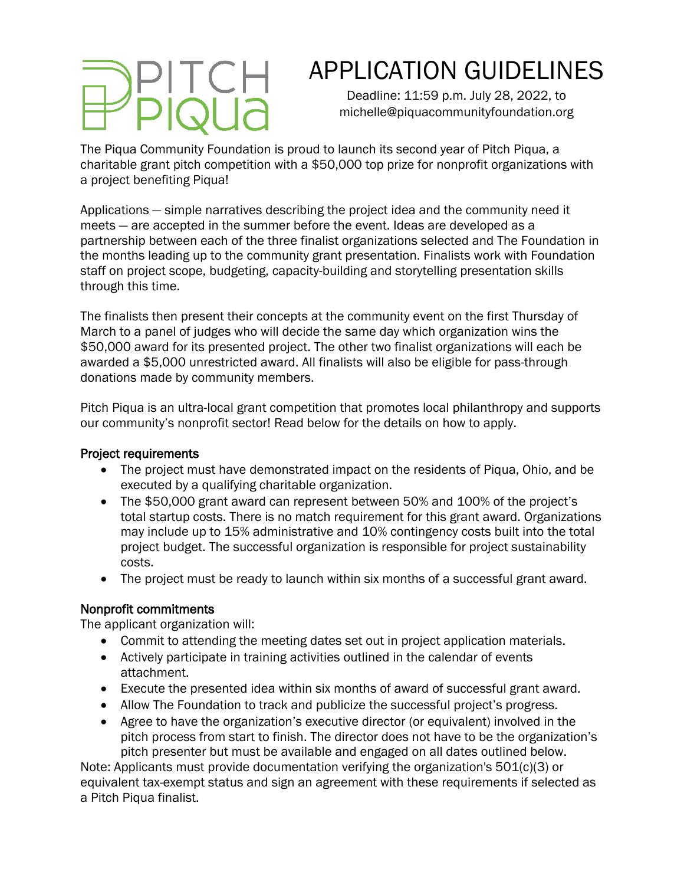# APPLICATION GUIDELINES

Deadline: 11:59 p.m. July 28, 2022, to michelle@piquacommunityfoundation.org

The Piqua Community Foundation is proud to launch its second year of Pitch Piqua, a charitable grant pitch competition with a \$50,000 top prize for nonprofit organizations with a project benefiting Piqua!

Applications — simple narratives describing the project idea and the community need it meets — are accepted in the summer before the event. Ideas are developed as a partnership between each of the three finalist organizations selected and The Foundation in the months leading up to the community grant presentation. Finalists work with Foundation staff on project scope, budgeting, capacity-building and storytelling presentation skills through this time.

The finalists then present their concepts at the community event on the first Thursday of March to a panel of judges who will decide the same day which organization wins the \$50,000 award for its presented project. The other two finalist organizations will each be awarded a \$5,000 unrestricted award. All finalists will also be eligible for pass-through donations made by community members.

Pitch Piqua is an ultra-local grant competition that promotes local philanthropy and supports our community's nonprofit sector! Read below for the details on how to apply.

## Project requirements

- The project must have demonstrated impact on the residents of Piqua, Ohio, and be executed by a qualifying charitable organization.
- The \$50,000 grant award can represent between 50% and 100% of the project's total startup costs. There is no match requirement for this grant award. Organizations may include up to 15% administrative and 10% contingency costs built into the total project budget. The successful organization is responsible for project sustainability costs.
- The project must be ready to launch within six months of a successful grant award.

## Nonprofit commitments

The applicant organization will:

- Commit to attending the meeting dates set out in project application materials.
- Actively participate in training activities outlined in the calendar of events attachment.
- Execute the presented idea within six months of award of successful grant award.
- Allow The Foundation to track and publicize the successful project's progress.
- Agree to have the organization's executive director (or equivalent) involved in the pitch process from start to finish. The director does not have to be the organization's pitch presenter but must be available and engaged on all dates outlined below.

Note: Applicants must provide documentation verifying the organization's 501(c)(3) or equivalent tax-exempt status and sign an agreement with these requirements if selected as a Pitch Piqua finalist.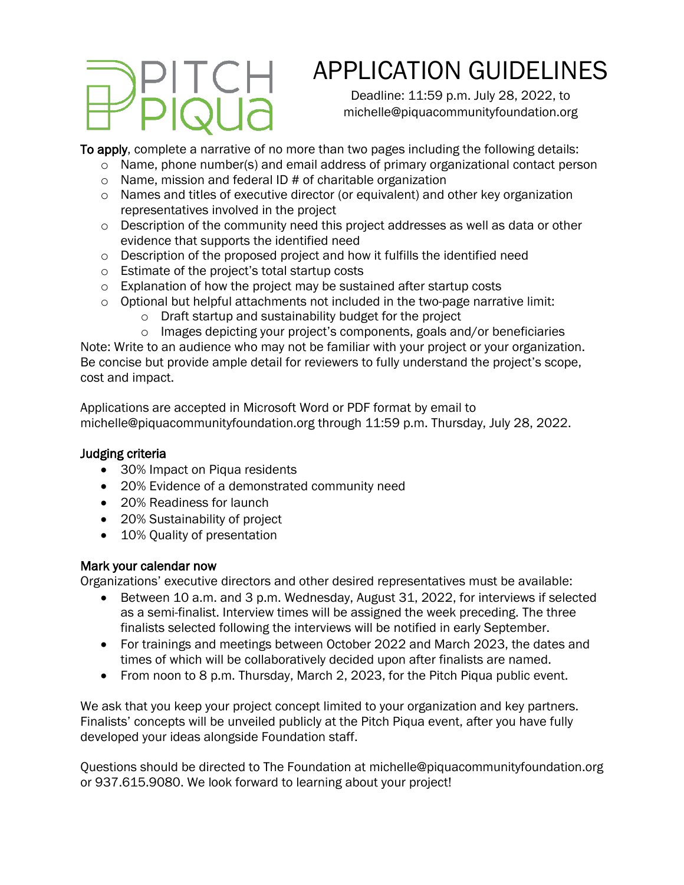# APPLICATION GUIDELINES

Deadline: 11:59 p.m. July 28, 2022, to michelle@piquacommunityfoundation.org

To apply, complete a narrative of no more than two pages including the following details:

- $\circ$  Name, phone number(s) and email address of primary organizational contact person
- $\circ$  Name, mission and federal ID # of charitable organization
- $\circ$  Names and titles of executive director (or equivalent) and other key organization representatives involved in the project
- $\circ$  Description of the community need this project addresses as well as data or other evidence that supports the identified need
- $\circ$  Description of the proposed project and how it fulfills the identified need
- o Estimate of the project's total startup costs
- o Explanation of how the project may be sustained after startup costs
- o Optional but helpful attachments not included in the two-page narrative limit:
	- o Draft startup and sustainability budget for the project
	- o Images depicting your project's components, goals and/or beneficiaries

Note: Write to an audience who may not be familiar with your project or your organization. Be concise but provide ample detail for reviewers to fully understand the project's scope, cost and impact.

Applications are accepted in Microsoft Word or PDF format by email to michelle@piquacommunityfoundation.org through 11:59 p.m. Thursday, July 28, 2022.

## Judging criteria

- 30% Impact on Piqua residents
- 20% Evidence of a demonstrated community need
- 20% Readiness for launch
- 20% Sustainability of project
- 10% Quality of presentation

# Mark your calendar now

Organizations' executive directors and other desired representatives must be available:

- Between 10 a.m. and 3 p.m. Wednesday, August 31, 2022, for interviews if selected as a semi-finalist. Interview times will be assigned the week preceding. The three finalists selected following the interviews will be notified in early September.
- For trainings and meetings between October 2022 and March 2023, the dates and times of which will be collaboratively decided upon after finalists are named.
- From noon to 8 p.m. Thursday, March 2, 2023, for the Pitch Piqua public event.

We ask that you keep your project concept limited to your organization and key partners. Finalists' concepts will be unveiled publicly at the Pitch Piqua event, after you have fully developed your ideas alongside Foundation staff.

Questions should be directed to The Foundation at michelle@piquacommunityfoundation.org or 937.615.9080. We look forward to learning about your project!